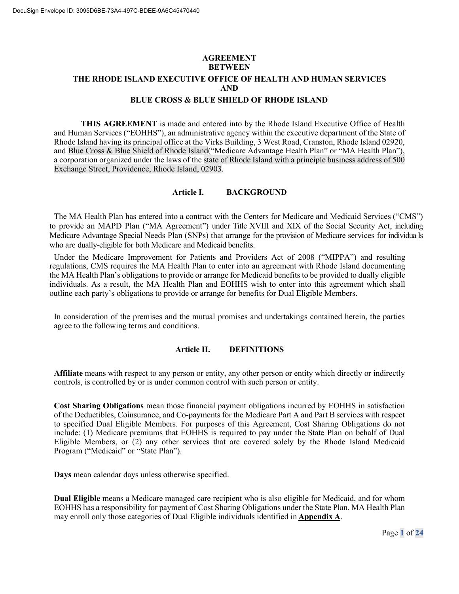# **AGREEMENT BETWEEN THE RHODE ISLAND EXECUTIVE OFFICE OF HEALTH AND HUMAN SERVICES AND**

### **BLUE CROSS & BLUE SHIELD OF RHODE ISLAND**

**THIS AGREEMENT** is made and entered into by the Rhode Island Executive Office of Health and Human Services ("EOHHS"), an administrative agency within the executive department of the State of Rhode Island having its principal office at the Virks Building, 3 West Road, Cranston, Rhode Island 02920, and Blue Cross & Blue Shield of Rhode Island("Medicare Advantage Health Plan" or "MA Health Plan"), a corporation organized under the laws of the state of Rhode Island with a principle business address of 500 Exchange Street, Providence, Rhode Island, 02903.

### **Article I. BACKGROUND**

The MA Health Plan has entered into a contract with the Centers for Medicare and Medicaid Services ("CMS") to provide an MAPD Plan ("MA Agreement") under Title XVIII and XIX of the Social Security Act, including Medicare Advantage Special Needs Plan (SNPs) that arrange for the provision of Medicare services for individua ls who are dually-eligible for both Medicare and Medicaid benefits.

Under the Medicare Improvement for Patients and Providers Act of 2008 ("MIPPA") and resulting regulations, CMS requires the MA Health Plan to enter into an agreement with Rhode Island documenting the MA Health Plan's obligations to provide or arrange for Medicaid benefits to be provided to dually eligible individuals. As a result, the MA Health Plan and EOHHS wish to enter into this agreement which shall outline each party's obligations to provide or arrange for benefits for Dual Eligible Members.

In consideration of the premises and the mutual promises and undertakings contained herein, the parties agree to the following terms and conditions.

#### **Article II. DEFINITIONS**

**Affiliate** means with respect to any person or entity, any other person or entity which directly or indirectly controls, is controlled by or is under common control with such person or entity.

**Cost Sharing Obligations** mean those financial payment obligations incurred by EOHHS in satisfaction of the Deductibles, Coinsurance, and Co-payments for the Medicare Part A and Part B services with respect to specified Dual Eligible Members. For purposes of this Agreement, Cost Sharing Obligations do not include: (1) Medicare premiums that EOHHS is required to pay under the State Plan on behalf of Dual Eligible Members, or (2) any other services that are covered solely by the Rhode Island Medicaid Program ("Medicaid" or "State Plan").

**Days** mean calendar days unless otherwise specified.

**Dual Eligible** means a Medicare managed care recipient who is also eligible for Medicaid, and for whom EOHHS has a responsibility for payment of Cost Sharing Obligations under the State Plan. MA Health Plan may enroll only those categories of Dual Eligible individuals identified in **Appendix A**.

Page **1** of **24**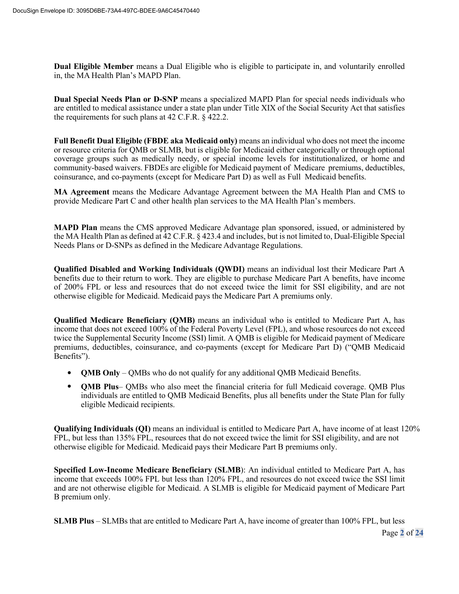**Dual Eligible Member** means a Dual Eligible who is eligible to participate in, and voluntarily enrolled in, the MA Health Plan's MAPD Plan.

**Dual Special Needs Plan or D-SNP** means a specialized MAPD Plan for special needs individuals who are entitled to medical assistance under a state plan under Title XIX of the Social Security Act that satisfies the requirements for such plans at 42 C.F.R. § 422.2.

**Full Benefit Dual Eligible (FBDE aka Medicaid only)** means an individual who does not meet the income or resource criteria for QMB or SLMB, but is eligible for Medicaid either categorically or through optional coverage groups such as medically needy, or special income levels for institutionalized, or home and community-based waivers. FBDEs are eligible for Medicaid payment of Medicare premiums, deductibles, coinsurance, and co-payments (except for Medicare Part D) as well as Full Medicaid benefits.

**MA Agreement** means the Medicare Advantage Agreement between the MA Health Plan and CMS to provide Medicare Part C and other health plan services to the MA Health Plan's members.

**MAPD Plan** means the CMS approved Medicare Advantage plan sponsored, issued, or administered by the MA Health Plan as defined at 42 C.F.R. § 423.4 and includes, but is not limited to, Dual-Eligible Special Needs Plans or D-SNPs as defined in the Medicare Advantage Regulations.

**Qualified Disabled and Working Individuals (QWDI)** means an individual lost their Medicare Part A benefits due to their return to work. They are eligible to purchase Medicare Part A benefits, have income of 200% FPL or less and resources that do not exceed twice the limit for SSI eligibility, and are not otherwise eligible for Medicaid. Medicaid pays the Medicare Part A premiums only.

**Qualified Medicare Beneficiary (QMB)** means an individual who is entitled to Medicare Part A, has income that does not exceed 100% of the Federal Poverty Level (FPL), and whose resources do not exceed twice the Supplemental Security Income (SSI) limit. A QMB is eligible for Medicaid payment of Medicare premiums, deductibles, coinsurance, and co-payments (except for Medicare Part D) ("QMB Medicaid Benefits").

- **QMB Only** QMBs who do not qualify for any additional QMB Medicaid Benefits.
- **QMB Plus** QMBs who also meet the financial criteria for full Medicaid coverage. QMB Plus individuals are entitled to QMB Medicaid Benefits, plus all benefits under the State Plan for fully eligible Medicaid recipients.

**Qualifying Individuals (QI)** means an individual is entitled to Medicare Part A, have income of at least 120% FPL, but less than 135% FPL, resources that do not exceed twice the limit for SSI eligibility, and are not otherwise eligible for Medicaid. Medicaid pays their Medicare Part B premiums only.

**Specified Low-Income Medicare Beneficiary (SLMB**): An individual entitled to Medicare Part A, has income that exceeds 100% FPL but less than 120% FPL, and resources do not exceed twice the SSI limit and are not otherwise eligible for Medicaid. A SLMB is eligible for Medicaid payment of Medicare Part B premium only.

**SLMB Plus** – SLMBs that are entitled to Medicare Part A, have income of greater than 100% FPL, but less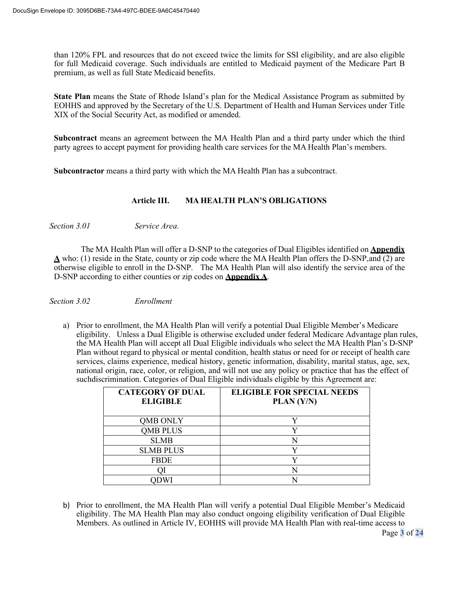than 120% FPL and resources that do not exceed twice the limits for SSI eligibility, and are also eligible for full Medicaid coverage. Such individuals are entitled to Medicaid payment of the Medicare Part B premium, as well as full State Medicaid benefits.

**State Plan** means the State of Rhode Island's plan for the Medical Assistance Program as submitted by EOHHS and approved by the Secretary of the U.S. Department of Health and Human Services under Title XIX of the Social Security Act, as modified or amended.

**Subcontract** means an agreement between the MA Health Plan and a third party under which the third party agrees to accept payment for providing health care services for the MA Health Plan's members.

**Subcontractor** means a third party with which the MA Health Plan has a subcontract.

### **Article III. MA HEALTH PLAN'S OBLIGATIONS**

*Section 3.01 Service Area.*

The MA Health Plan will offer a D-SNP to the categories of Dual Eligibles identified on **Appendix A** who: (1) reside in the State, county or zip code where the MA Health Plan offers the D-SNP,and (2) are otherwise eligible to enroll in the D-SNP. The MA Health Plan will also identify the service area of the D-SNP according to either counties or zip codes on **Appendix A**.

*Section 3.02 Enrollment*

a) Prior to enrollment, the MA Health Plan will verify a potential Dual Eligible Member's Medicare eligibility. Unless a Dual Eligible is otherwise excluded under federal Medicare Advantage plan rules, the MA Health Plan will accept all Dual Eligible individuals who select the MA Health Plan's D-SNP Plan without regard to physical or mental condition, health status or need for or receipt of health care services, claims experience, medical history, genetic information, disability, marital status, age, sex, national origin, race, color, or religion, and will not use any policy or practice that has the effect of suchdiscrimination. Categories of Dual Eligible individuals eligible by this Agreement are:

| <b>CATEGORY OF DUAL</b><br><b>ELIGIBLE</b> | <b>ELIGIBLE FOR SPECIAL NEEDS</b><br>PLAN (Y/N) |
|--------------------------------------------|-------------------------------------------------|
| <b>OMB ONLY</b>                            |                                                 |
| <b>QMB PLUS</b>                            |                                                 |
| <b>SLMB</b>                                | N                                               |
| <b>SLMB PLUS</b>                           |                                                 |
| <b>FBDE</b>                                |                                                 |
|                                            |                                                 |
|                                            |                                                 |

b) Prior to enrollment, the MA Health Plan will verify a potential Dual Eligible Member's Medicaid eligibility. The MA Health Plan may also conduct ongoing eligibility verification of Dual Eligible Members. As outlined in Article IV, EOHHS will provide MA Health Plan with real-time access to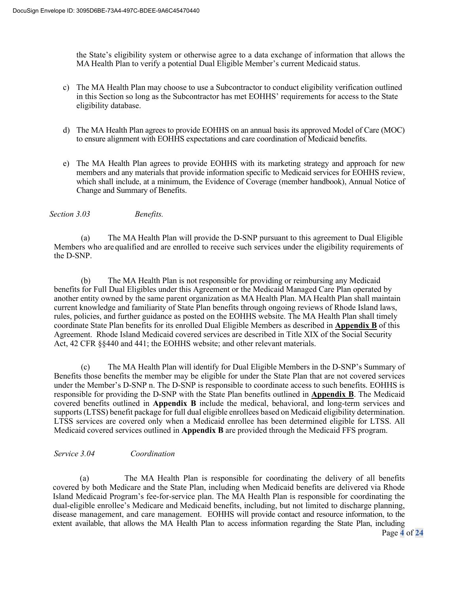the State's eligibility system or otherwise agree to a data exchange of information that allows the MA Health Plan to verify a potential Dual Eligible Member's current Medicaid status.

- c) The MA Health Plan may choose to use a Subcontractor to conduct eligibility verification outlined in this Section so long as the Subcontractor has met EOHHS' requirements for access to the State eligibility database.
- d) The MA Health Plan agrees to provide EOHHS on an annual basis its approved Model of Care (MOC) to ensure alignment with EOHHS expectations and care coordination of Medicaid benefits.
- e) The MA Health Plan agrees to provide EOHHS with its marketing strategy and approach for new members and any materials that provide information specific to Medicaid services for EOHHS review, which shall include, at a minimum, the Evidence of Coverage (member handbook), Annual Notice of Change and Summary of Benefits.

*Section 3.03 Benefits.*

(a) The MA Health Plan will provide the D-SNP pursuant to this agreement to Dual Eligible Members who are qualified and are enrolled to receive such services under the eligibility requirements of the D-SNP.

(b) The MA Health Plan is not responsible for providing or reimbursing any Medicaid benefits for Full Dual Eligibles under this Agreement or the Medicaid Managed Care Plan operated by another entity owned by the same parent organization as MA Health Plan. MA Health Plan shall maintain current knowledge and familiarity of State Plan benefits through ongoing reviews of Rhode Island laws, rules, policies, and further guidance as posted on the EOHHS website. The MA Health Plan shall timely coordinate State Plan benefits for its enrolled Dual Eligible Members as described in **Appendix B** of this Agreement. Rhode Island Medicaid covered services are described in Title XIX of the Social Security Act, 42 CFR §§440 and 441; the EOHHS website; and other relevant materials.

(c) The MA Health Plan will identify for Dual Eligible Members in the D-SNP's Summary of Benefits those benefits the member may be eligible for under the State Plan that are not covered services under the Member's D-SNP n. The D-SNP is responsible to coordinate access to such benefits. EOHHS is responsible for providing the D-SNP with the State Plan benefits outlined in **Appendix B**. The Medicaid covered benefits outlined in **Appendix B** include the medical, behavioral, and long-term services and supports (LTSS) benefit package for full dual eligible enrollees based on Medicaid eligibility determination. LTSS services are covered only when a Medicaid enrollee has been determined eligible for LTSS. All Medicaid covered services outlined in **Appendix B** are provided through the Medicaid FFS program.

### *Service 3.04 Coordination*

(a) The MA Health Plan is responsible for coordinating the delivery of all benefits covered by both Medicare and the State Plan, including when Medicaid benefits are delivered via Rhode Island Medicaid Program's fee-for-service plan. The MA Health Plan is responsible for coordinating the dual-eligible enrollee's Medicare and Medicaid benefits, including, but not limited to discharge planning, disease management, and care management. EOHHS will provide contact and resource information, to the extent available, that allows the MA Health Plan to access information regarding the State Plan, including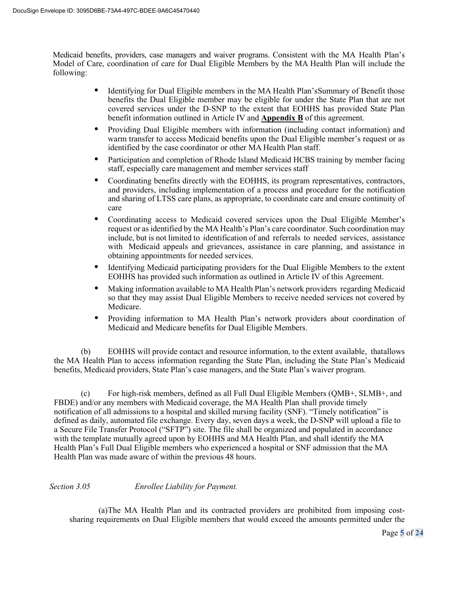Medicaid benefits, providers, case managers and waiver programs. Consistent with the MA Health Plan's Model of Care, coordination of care for Dual Eligible Members by the MA Health Plan will include the following:

- Identifying for Dual Eligible members in the MA Health Plan's Summary of Benefit those benefits the Dual Eligible member may be eligible for under the State Plan that are not covered services under the D-SNP to the extent that EOHHS has provided State Plan benefit information outlined in Article IV and **Appendix B** of this agreement.
- Providing Dual Eligible members with information (including contact information) and warm transfer to access Medicaid benefits upon the Dual Eligible member's request or as identified by the case coordinator or other MA Health Plan staff.
- Participation and completion of Rhode Island Medicaid HCBS training by member facing staff, especially care management and member services staff
- Coordinating benefits directly with the EOHHS, its program representatives, contractors, and providers, including implementation of a process and procedure for the notification and sharing of LTSS care plans, as appropriate, to coordinate care and ensure continuity of care
- Coordinating access to Medicaid covered services upon the Dual Eligible Member's request or as identified by the MA Health's Plan's care coordinator. Such coordination may include, but is not limited to identification of and referrals to needed services, assistance with Medicaid appeals and grievances, assistance in care planning, and assistance in obtaining appointments for needed services.
- Identifying Medicaid participating providers for the Dual Eligible Members to the extent EOHHS has provided such information as outlined in Article IV of this Agreement.
- Making information available to MA Health Plan's network providers regarding Medicaid so that they may assist Dual Eligible Members to receive needed services not covered by Medicare.
- Providing information to MA Health Plan's network providers about coordination of Medicaid and Medicare benefits for Dual Eligible Members.

(b) EOHHS will provide contact and resource information, to the extent available, thatallows the MA Health Plan to access information regarding the State Plan, including the State Plan's Medicaid benefits, Medicaid providers, State Plan's case managers, and the State Plan's waiver program.

(c) For high-risk members, defined as all Full Dual Eligible Members (QMB+, SLMB+, and FBDE) and/or any members with Medicaid coverage, the MA Health Plan shall provide timely notification of all admissions to a hospital and skilled nursing facility (SNF). "Timely notification" is defined as daily, automated file exchange. Every day, seven days a week, the D-SNP will upload a file to a Secure File Transfer Protocol ("SFTP") site. The file shall be organized and populated in accordance with the template mutually agreed upon by EOHHS and MA Health Plan, and shall identify the MA Health Plan's Full Dual Eligible members who experienced a hospital or SNF admission that the MA Health Plan was made aware of within the previous 48 hours.

## *Section 3.05 Enrollee Liability for Payment.*

(a)The MA Health Plan and its contracted providers are prohibited from imposing costsharing requirements on Dual Eligible members that would exceed the amounts permitted under the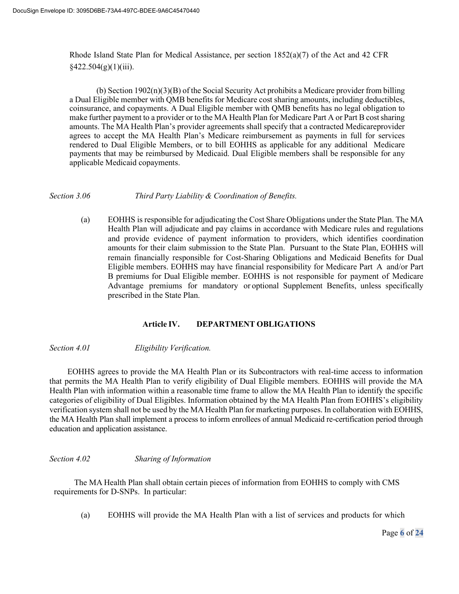Rhode Island State Plan for Medical Assistance, per section  $1852(a)(7)$  of the Act and 42 CFR  $§422.504(g)(1)(iii).$ 

(b) Section  $1902(n)(3)(B)$  of the Social Security Act prohibits a Medicare provider from billing a Dual Eligible member with QMB benefits for Medicare cost sharing amounts, including deductibles, coinsurance, and copayments. A Dual Eligible member with QMB benefits has no legal obligation to make further payment to a provider or to the MA Health Plan for Medicare Part A or Part B costsharing amounts. The MA Health Plan's provider agreements shall specify that a contracted Medicareprovider agrees to accept the MA Health Plan's Medicare reimbursement as payments in full for services rendered to Dual Eligible Members, or to bill EOHHS as applicable for any additional Medicare payments that may be reimbursed by Medicaid. Dual Eligible members shall be responsible for any applicable Medicaid copayments.

#### *Section 3.06 Third Party Liability & Coordination of Benefits.*

(a) EOHHS is responsible for adjudicating the Cost Share Obligations under the State Plan. The MA Health Plan will adjudicate and pay claims in accordance with Medicare rules and regulations and provide evidence of payment information to providers, which identifies coordination amounts for their claim submission to the State Plan. Pursuant to the State Plan, EOHHS will remain financially responsible for Cost-Sharing Obligations and Medicaid Benefits for Dual Eligible members. EOHHS may have financial responsibility for Medicare Part A and/or Part B premiums for Dual Eligible member. EOHHS is not responsible for payment of Medicare Advantage premiums for mandatory or optional Supplement Benefits, unless specifically prescribed in the State Plan.

### **Article IV. DEPARTMENT OBLIGATIONS**

*Section 4.01 Eligibility Verification.*

EOHHS agrees to provide the MA Health Plan or its Subcontractors with real-time access to information that permits the MA Health Plan to verify eligibility of Dual Eligible members. EOHHS will provide the MA Health Plan with information within a reasonable time frame to allow the MA Health Plan to identify the specific categories of eligibility of Dual Eligibles. Information obtained by the MA Health Plan from EOHHS's eligibility verification system shall not be used by the MA Health Plan for marketing purposes. In collaboration with EOHHS, the MA Health Plan shall implement a process to inform enrollees of annual Medicaid re-certification period through education and application assistance.

### *Section 4.02 Sharing of Information*

The MA Health Plan shall obtain certain pieces of information from EOHHS to comply with CMS requirements for D-SNPs. In particular:

(a) EOHHS will provide the MA Health Plan with a list of services and products for which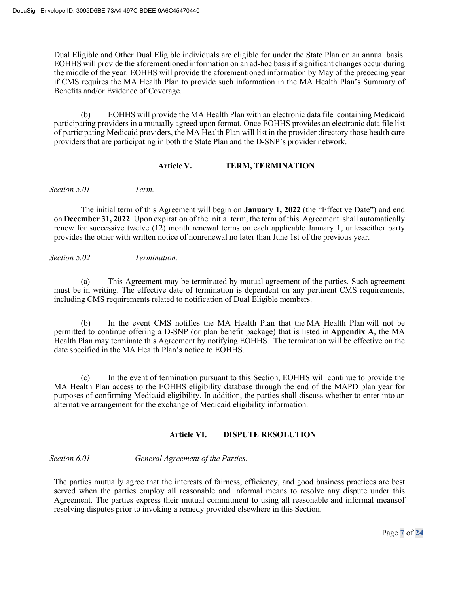Dual Eligible and Other Dual Eligible individuals are eligible for under the State Plan on an annual basis. EOHHS will provide the aforementioned information on an ad-hoc basis if significant changes occur during the middle of the year. EOHHS will provide the aforementioned information by May of the preceding year if CMS requires the MA Health Plan to provide such information in the MA Health Plan's Summary of Benefits and/or Evidence of Coverage.

(b) EOHHS will provide the MA Health Plan with an electronic data file containing Medicaid participating providers in a mutually agreed upon format. Once EOHHS provides an electronic data file list of participating Medicaid providers, the MA Health Plan will list in the provider directory those health care providers that are participating in both the State Plan and the D-SNP's provider network.

### **Article V. TERM, TERMINATION**

*Section 5.01 Term.*

The initial term of this Agreement will begin on **January 1, 2022** (the "Effective Date") and end on **December 31, 2022**. Upon expiration of the initial term, the term of this Agreement shall automatically renew for successive twelve (12) month renewal terms on each applicable January 1, unlesseither party provides the other with written notice of nonrenewal no later than June 1st of the previous year.

### *Section 5.02 Termination.*

(a) This Agreement may be terminated by mutual agreement of the parties. Such agreement must be in writing. The effective date of termination is dependent on any pertinent CMS requirements, including CMS requirements related to notification of Dual Eligible members.

(b) In the event CMS notifies the MA Health Plan that the MA Health Plan will not be permitted to continue offering a D-SNP (or plan benefit package) that is listed in **Appendix A**, the MA Health Plan may terminate this Agreement by notifying EOHHS. The termination will be effective on the date specified in the MA Health Plan's notice to EOHHS.

(c) In the event of termination pursuant to this Section, EOHHS will continue to provide the MA Health Plan access to the EOHHS eligibility database through the end of the MAPD plan year for purposes of confirming Medicaid eligibility. In addition, the parties shall discuss whether to enter into an alternative arrangement for the exchange of Medicaid eligibility information.

## **Article VI. DISPUTE RESOLUTION**

*Section 6.01 General Agreement of the Parties.*

The parties mutually agree that the interests of fairness, efficiency, and good business practices are best served when the parties employ all reasonable and informal means to resolve any dispute under this Agreement. The parties express their mutual commitment to using all reasonable and informal meansof resolving disputes prior to invoking a remedy provided elsewhere in this Section.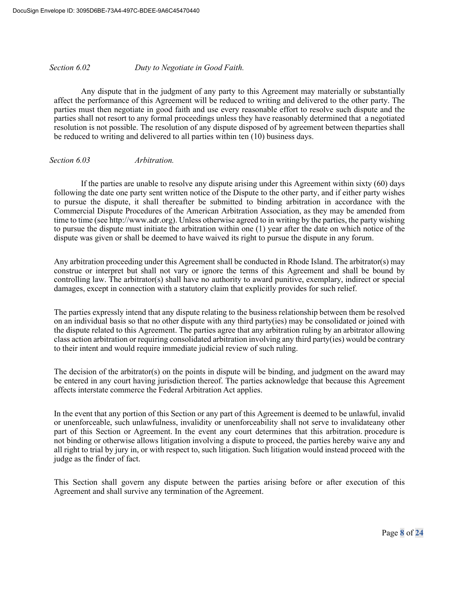*Section 6.02 Duty to Negotiate in Good Faith.*

Any dispute that in the judgment of any party to this Agreement may materially or substantially affect the performance of this Agreement will be reduced to writing and delivered to the other party. The parties must then negotiate in good faith and use every reasonable effort to resolve such dispute and the parties shall not resort to any formal proceedings unless they have reasonably determined that a negotiated resolution is not possible. The resolution of any dispute disposed of by agreement between theparties shall be reduced to writing and delivered to all parties within ten (10) business days.

### *Section 6.03 Arbitration.*

If the parties are unable to resolve any dispute arising under this Agreement within sixty (60) days following the date one party sent written notice of the Dispute to the other party, and if either party wishes to pursue the dispute, it shall thereafter be submitted to binding arbitration in accordance with the Commercial Dispute Procedures of the American Arbitration Association, as they may be amended from time to time (see http://www.adr.org). Unless otherwise agreed to in writing by the parties, the party wishing to pursue the dispute must initiate the arbitration within one (1) year after the date on which notice of the dispute was given or shall be deemed to have waived its right to pursue the dispute in any forum.

Any arbitration proceeding under this Agreement shall be conducted in Rhode Island. The arbitrator(s) may construe or interpret but shall not vary or ignore the terms of this Agreement and shall be bound by controlling law. The arbitrator(s) shall have no authority to award punitive, exemplary, indirect or special damages, except in connection with a statutory claim that explicitly provides for such relief.

The parties expressly intend that any dispute relating to the business relationship between them be resolved on an individual basis so that no other dispute with any third party(ies) may be consolidated or joined with the dispute related to this Agreement. The parties agree that any arbitration ruling by an arbitrator allowing class action arbitration or requiring consolidated arbitration involving any third party(ies) would be contrary to their intent and would require immediate judicial review of such ruling.

The decision of the arbitrator(s) on the points in dispute will be binding, and judgment on the award may be entered in any court having jurisdiction thereof. The parties acknowledge that because this Agreement affects interstate commerce the Federal Arbitration Act applies.

In the event that any portion of this Section or any part of this Agreement is deemed to be unlawful, invalid or unenforceable, such unlawfulness, invalidity or unenforceability shall not serve to invalidateany other part of this Section or Agreement. In the event any court determines that this arbitration. procedure is not binding or otherwise allows litigation involving a dispute to proceed, the parties hereby waive any and all right to trial by jury in, or with respect to, such litigation. Such litigation would instead proceed with the judge as the finder of fact.

This Section shall govern any dispute between the parties arising before or after execution of this Agreement and shall survive any termination of the Agreement.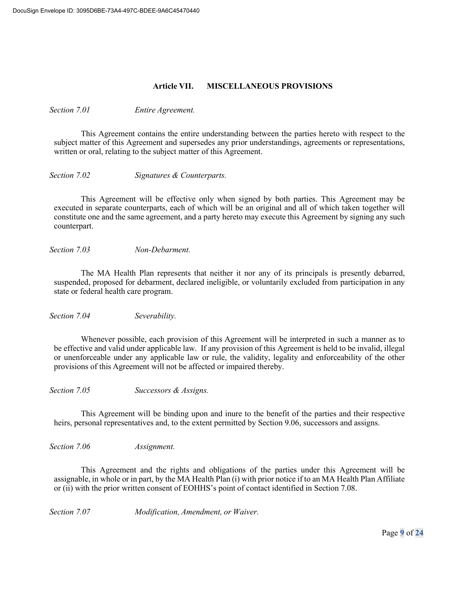### **Article VII. MISCELLANEOUS PROVISIONS**

*Section 7.01 Entire Agreement.*

This Agreement contains the entire understanding between the parties hereto with respect to the subject matter of this Agreement and supersedes any prior understandings, agreements or representations, written or oral, relating to the subject matter of this Agreement.

*Section 7.02 Signatures & Counterparts.*

This Agreement will be effective only when signed by both parties. This Agreement may be executed in separate counterparts, each of which will be an original and all of which taken together will constitute one and the same agreement, and a party hereto may execute this Agreement by signing any such counterpart.

*Section 7.03 Non-Debarment.*

The MA Health Plan represents that neither it nor any of its principals is presently debarred, suspended, proposed for debarment, declared ineligible, or voluntarily excluded from participation in any state or federal health care program.

*Section 7.04 Severability.*

Whenever possible, each provision of this Agreement will be interpreted in such a manner as to be effective and valid under applicable law. If any provision of this Agreement is held to be invalid, illegal or unenforceable under any applicable law or rule, the validity, legality and enforceability of the other provisions of this Agreement will not be affected or impaired thereby.

*Section 7.05 Successors & Assigns.*

This Agreement will be binding upon and inure to the benefit of the parties and their respective heirs, personal representatives and, to the extent permitted by Section 9.06, successors and assigns.

*Section 7.06 Assignment.*

This Agreement and the rights and obligations of the parties under this Agreement will be assignable, in whole or in part, by the MA Health Plan (i) with prior notice if to an MA Health Plan Affiliate or (ii) with the prior written consent of EOHHS's point of contact identified in Section 7.08.

*Section 7.07 Modification, Amendment, or Waiver.*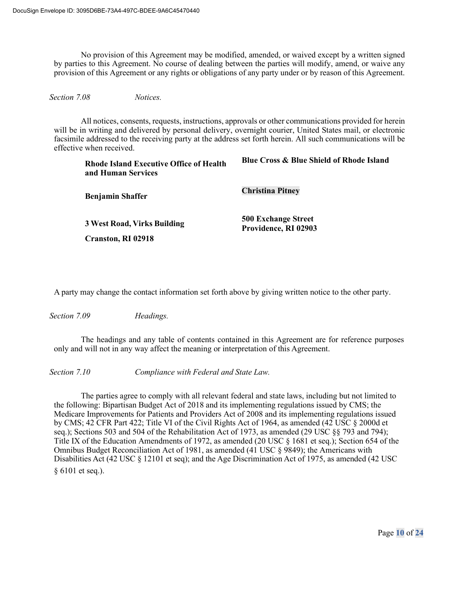No provision of this Agreement may be modified, amended, or waived except by a written signed by parties to this Agreement. No course of dealing between the parties will modify, amend, or waive any provision of this Agreement or any rights or obligations of any party under or by reason of this Agreement.

*Section 7.08 Notices.*

All notices, consents, requests, instructions, approvals or other communications provided for herein will be in writing and delivered by personal delivery, overnight courier, United States mail, or electronic facsimile addressed to the receiving party at the address set forth herein. All such communications will be effective when received.

| <b>Rhode Island Executive Office of Health</b><br>and Human Services | <b>Blue Cross &amp; Blue Shield of Rhode Island</b> |
|----------------------------------------------------------------------|-----------------------------------------------------|
| <b>Benjamin Shaffer</b>                                              | <b>Christina Pitney</b>                             |
| <b>3 West Road, Virks Building</b><br><b>Cranston, RI 02918</b>      | <b>500 Exchange Street</b><br>Providence, RI 02903  |

A party may change the contact information set forth above by giving written notice to the other party.

*Section 7.09 Headings.*

The headings and any table of contents contained in this Agreement are for reference purposes only and will not in any way affect the meaning or interpretation of this Agreement.

*Section 7.10 Compliance with Federal and State Law.*

The parties agree to comply with all relevant federal and state laws, including but not limited to the following: Bipartisan Budget Act of 2018 and its implementing regulations issued by CMS; the Medicare Improvements for Patients and Providers Act of 2008 and its implementing regulations issued by CMS; 42 CFR Part 422; Title VI of the Civil Rights Act of 1964, as amended (42 USC § 2000d et seq.); Sections 503 and 504 of the Rehabilitation Act of 1973, as amended (29 USC §§ 793 and 794); Title IX of the Education Amendments of 1972, as amended (20 USC § 1681 et seq.); Section 654 of the Omnibus Budget Reconciliation Act of 1981, as amended (41 USC § 9849); the Americans with Disabilities Act (42 USC § 12101 et seq); and the Age Discrimination Act of 1975, as amended (42 USC § 6101 et seq.).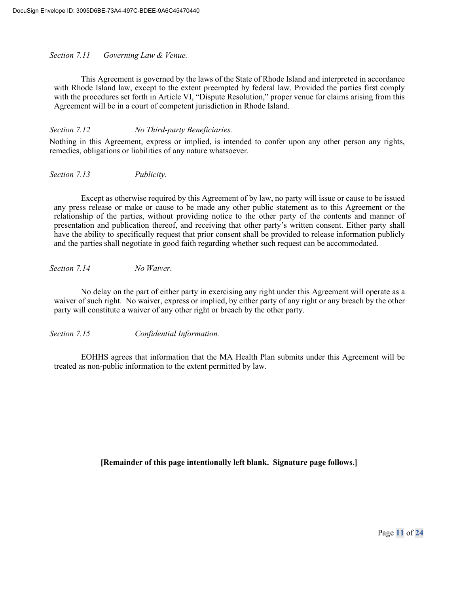### *Section 7.11 Governing Law & Venue.*

This Agreement is governed by the laws of the State of Rhode Island and interpreted in accordance with Rhode Island law, except to the extent preempted by federal law. Provided the parties first comply with the procedures set forth in Article VI, "Dispute Resolution," proper venue for claims arising from this Agreement will be in a court of competent jurisdiction in Rhode Island.

*Section 7.12 No Third-party Beneficiaries.*

Nothing in this Agreement, express or implied, is intended to confer upon any other person any rights, remedies, obligations or liabilities of any nature whatsoever.

*Section 7.13 Publicity.*

Except as otherwise required by this Agreement of by law, no party will issue or cause to be issued any press release or make or cause to be made any other public statement as to this Agreement or the relationship of the parties, without providing notice to the other party of the contents and manner of presentation and publication thereof, and receiving that other party's written consent. Either party shall have the ability to specifically request that prior consent shall be provided to release information publicly and the parties shall negotiate in good faith regarding whether such request can be accommodated.

*Section 7.14 No Waiver.*

No delay on the part of either party in exercising any right under this Agreement will operate as a waiver of such right. No waiver, express or implied, by either party of any right or any breach by the other party will constitute a waiver of any other right or breach by the other party.

*Section 7.15 Confidential Information.*

EOHHS agrees that information that the MA Health Plan submits under this Agreement will be treated as non-public information to the extent permitted by law.

**[Remainder of this page intentionally left blank. Signature page follows.]**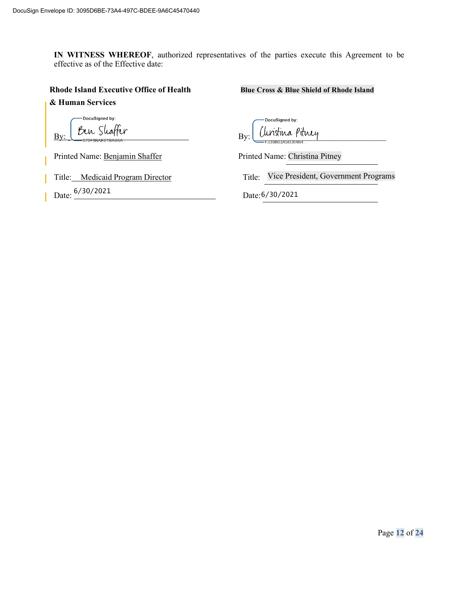**IN WITNESS WHEREOF**, authorized representatives of the parties execute this Agreement to be effective as of the Effective date:

#### **Rhode Island Executive Office of Health Blue Cross & Blue Shield of Rhode Island**

**& Human Services** 

DocuSigned by:

Printed Name: Benjamin Shaffer Printed Name: Christina Pitney

Title: Medicaid Program Director

Date:  $\frac{6}{30}$ /2021

DocuSigned by: By: By: \_\_\_\_\_\_\_\_\_\_\_\_\_\_\_\_\_\_\_\_\_\_\_\_\_\_\_\_\_\_\_\_

Title: Vice President, Government Programs

Date: 6/30/2021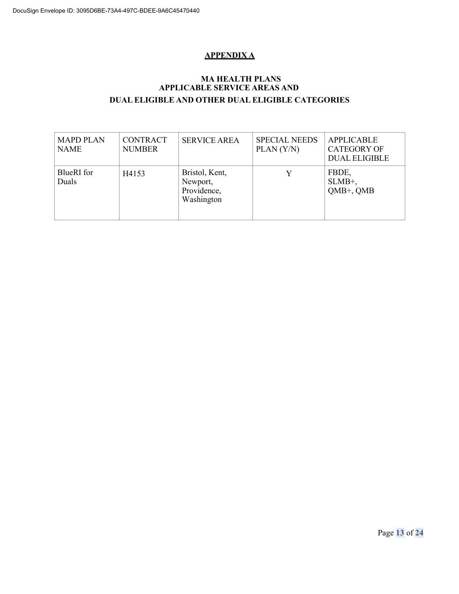# **APPENDIX A**

## **MA HEALTH PLANS APPLICABLE SERVICE AREAS AND DUAL ELIGIBLE AND OTHER DUAL ELIGIBLE CATEGORIES**

| <b>MAPD PLAN</b><br><b>NAME</b> | <b>CONTRACT</b><br><b>NUMBER</b> | <b>SERVICE AREA</b>                                     | <b>SPECIAL NEEDS</b><br>PLAN (Y/N) | <b>APPLICABLE</b><br><b>CATEGORY OF</b><br><b>DUAL ELIGIBLE</b> |
|---------------------------------|----------------------------------|---------------------------------------------------------|------------------------------------|-----------------------------------------------------------------|
| BlueRI for<br>Duals             | H4153                            | Bristol, Kent,<br>Newport,<br>Providence,<br>Washington | V                                  | FBDE,<br>$SLMB^+$ ,<br>QMB+, QMB                                |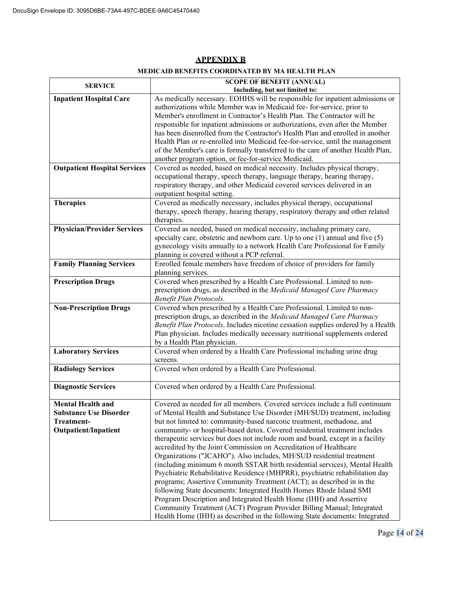| <b>SERVICE</b>                      | <b>SCOPE OF BENEFIT (ANNUAL)</b>                                                                                                                                |
|-------------------------------------|-----------------------------------------------------------------------------------------------------------------------------------------------------------------|
|                                     | Including, but not limited to:                                                                                                                                  |
| <b>Inpatient Hospital Care</b>      | As medically necessary. EOHHS will be responsible for inpatient admissions or<br>authorizations while Member was in Medicaid fee-for-service, prior to          |
|                                     | Member's enrollment in Contractor's Health Plan. The Contractor will be                                                                                         |
|                                     |                                                                                                                                                                 |
|                                     | responsible for inpatient admissions or authorizations, even after the Member<br>has been disenrolled from the Contractor's Health Plan and enrolled in another |
|                                     | Health Plan or re-enrolled into Medicaid fee-for-service, until the management                                                                                  |
|                                     | of the Member's care is formally transferred to the care of another Health Plan,                                                                                |
|                                     | another program option, or fee-for-service Medicaid.                                                                                                            |
| <b>Outpatient Hospital Services</b> | Covered as needed, based on medical necessity. Includes physical therapy,                                                                                       |
|                                     | occupational therapy, speech therapy, language therapy, hearing therapy,                                                                                        |
|                                     | respiratory therapy, and other Medicaid covered services delivered in an                                                                                        |
|                                     | outpatient hospital setting.                                                                                                                                    |
| <b>Therapies</b>                    | Covered as medically necessary, includes physical therapy, occupational                                                                                         |
|                                     | therapy, speech therapy, hearing therapy, respiratory therapy and other related                                                                                 |
|                                     | therapies.                                                                                                                                                      |
| <b>Physician/Provider Services</b>  | Covered as needed, based on medical necessity, including primary care,                                                                                          |
|                                     | specialty care, obstetric and newborn care. Up to one $(1)$ annual and five $(5)$                                                                               |
|                                     | gynecology visits annually to a network Health Care Professional for Family                                                                                     |
|                                     | planning is covered without a PCP referral.                                                                                                                     |
| <b>Family Planning Services</b>     | Enrolled female members have freedom of choice of providers for family                                                                                          |
|                                     | planning services.                                                                                                                                              |
| <b>Prescription Drugs</b>           | Covered when prescribed by a Health Care Professional. Limited to non-                                                                                          |
|                                     | prescription drugs, as described in the Medicaid Managed Care Pharmacy                                                                                          |
|                                     | Benefit Plan Protocols.                                                                                                                                         |
| <b>Non-Prescription Drugs</b>       | Covered when prescribed by a Health Care Professional. Limited to non-                                                                                          |
|                                     | prescription drugs, as described in the Medicaid Managed Care Pharmacy                                                                                          |
|                                     | Benefit Plan Protocols. Includes nicotine cessation supplies ordered by a Health                                                                                |
|                                     | Plan physician. Includes medically necessary nutritional supplements ordered                                                                                    |
|                                     | by a Health Plan physician.                                                                                                                                     |
| <b>Laboratory Services</b>          | Covered when ordered by a Health Care Professional including urine drug                                                                                         |
|                                     | screens.                                                                                                                                                        |
| <b>Radiology Services</b>           | Covered when ordered by a Health Care Professional.                                                                                                             |
| <b>Diagnostic Services</b>          | Covered when ordered by a Health Care Professional.                                                                                                             |
|                                     |                                                                                                                                                                 |
| <b>Mental Health and</b>            | Covered as needed for all members. Covered services include a full continuum                                                                                    |
| <b>Substance Use Disorder</b>       | of Mental Health and Substance Use Disorder (MH/SUD) treatment, including                                                                                       |
| Treatment-                          | but not limited to: community-based narcotic treatment, methadone, and                                                                                          |
| <b>Outpatient/Inpatient</b>         | community- or hospital-based detox. Covered residential treatment includes                                                                                      |
|                                     | therapeutic services but does not include room and board, except in a facility                                                                                  |
|                                     | accredited by the Joint Commission on Accreditation of Healthcare                                                                                               |
|                                     | Organizations ("JCAHO"). Also includes, MH/SUD residential treatment                                                                                            |
|                                     | (including minimum 6 month SSTAR birth residential services), Mental Health                                                                                     |
|                                     | Psychiatric Rehabilitative Residence (MHPRR), psychiatric rehabilitation day                                                                                    |
|                                     | programs; Assertive Community Treatment (ACT); as described in in the                                                                                           |
|                                     | following State documents: Integrated Health Homes Rhode Island SMI                                                                                             |
|                                     | Program Description and Integrated Health Home (IHH) and Assertive                                                                                              |
|                                     | Community Treatment (ACT) Program Provider Billing Manual; Integrated                                                                                           |
|                                     | Health Home (IHH) as described in the following State documents: Integrated                                                                                     |

## **APPENDIX B**

### **MEDICAID BENEFITS COORDINATED BY MA HEALTH PLAN**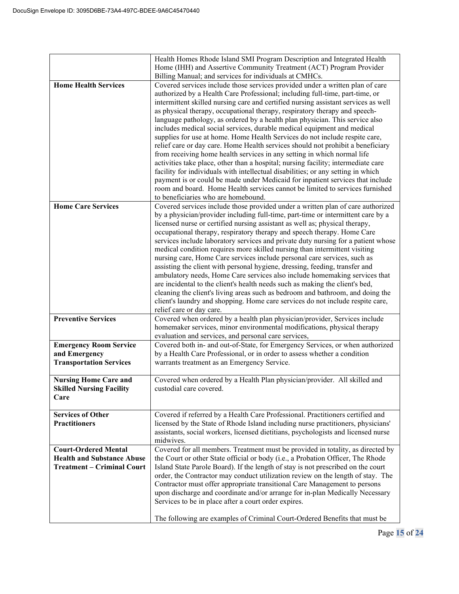|                                                                                                       | Health Homes Rhode Island SMI Program Description and Integrated Health<br>Home (IHH) and Assertive Community Treatment (ACT) Program Provider<br>Billing Manual; and services for individuals at CMHCs.                                                                                                                                                                                                                                                                                                                                                                                                                                                                                                                                                                                                                                                                                                                                                                                                                                                                                                                    |
|-------------------------------------------------------------------------------------------------------|-----------------------------------------------------------------------------------------------------------------------------------------------------------------------------------------------------------------------------------------------------------------------------------------------------------------------------------------------------------------------------------------------------------------------------------------------------------------------------------------------------------------------------------------------------------------------------------------------------------------------------------------------------------------------------------------------------------------------------------------------------------------------------------------------------------------------------------------------------------------------------------------------------------------------------------------------------------------------------------------------------------------------------------------------------------------------------------------------------------------------------|
| <b>Home Health Services</b>                                                                           | Covered services include those services provided under a written plan of care<br>authorized by a Health Care Professional; including full-time, part-time, or<br>intermittent skilled nursing care and certified nursing assistant services as well<br>as physical therapy, occupational therapy, respiratory therapy and speech-<br>language pathology, as ordered by a health plan physician. This service also<br>includes medical social services, durable medical equipment and medical<br>supplies for use at home. Home Health Services do not include respite care,<br>relief care or day care. Home Health services should not prohibit a beneficiary<br>from receiving home health services in any setting in which normal life<br>activities take place, other than a hospital; nursing facility; intermediate care<br>facility for individuals with intellectual disabilities; or any setting in which<br>payment is or could be made under Medicaid for inpatient services that include<br>room and board. Home Health services cannot be limited to services furnished<br>to beneficiaries who are homebound. |
| <b>Home Care Services</b>                                                                             | Covered services include those provided under a written plan of care authorized<br>by a physician/provider including full-time, part-time or intermittent care by a<br>licensed nurse or certified nursing assistant as well as; physical therapy,<br>occupational therapy, respiratory therapy and speech therapy. Home Care<br>services include laboratory services and private duty nursing for a patient whose<br>medical condition requires more skilled nursing than intermittent visiting<br>nursing care, Home Care services include personal care services, such as<br>assisting the client with personal hygiene, dressing, feeding, transfer and<br>ambulatory needs, Home Care services also include homemaking services that<br>are incidental to the client's health needs such as making the client's bed,<br>cleaning the client's living areas such as bedroom and bathroom, and doing the<br>client's laundry and shopping. Home care services do not include respite care,<br>relief care or day care.                                                                                                   |
| <b>Preventive Services</b>                                                                            | Covered when ordered by a health plan physician/provider, Services include<br>homemaker services, minor environmental modifications, physical therapy<br>evaluation and services, and personal care services,                                                                                                                                                                                                                                                                                                                                                                                                                                                                                                                                                                                                                                                                                                                                                                                                                                                                                                               |
| <b>Emergency Room Service</b><br>and Emergency<br><b>Transportation Services</b>                      | Covered both in- and out-of-State, for Emergency Services, or when authorized<br>by a Health Care Professional, or in order to assess whether a condition<br>warrants treatment as an Emergency Service.                                                                                                                                                                                                                                                                                                                                                                                                                                                                                                                                                                                                                                                                                                                                                                                                                                                                                                                    |
| <b>Nursing Home Care and</b><br><b>Skilled Nursing Facility</b><br>Care                               | Covered when ordered by a Health Plan physician/provider. All skilled and<br>custodial care covered.                                                                                                                                                                                                                                                                                                                                                                                                                                                                                                                                                                                                                                                                                                                                                                                                                                                                                                                                                                                                                        |
| <b>Services of Other</b><br><b>Practitioners</b>                                                      | Covered if referred by a Health Care Professional. Practitioners certified and<br>licensed by the State of Rhode Island including nurse practitioners, physicians'<br>assistants, social workers, licensed dietitians, psychologists and licensed nurse<br>midwives.                                                                                                                                                                                                                                                                                                                                                                                                                                                                                                                                                                                                                                                                                                                                                                                                                                                        |
| <b>Court-Ordered Mental</b><br><b>Health and Substance Abuse</b><br><b>Treatment – Criminal Court</b> | Covered for all members. Treatment must be provided in totality, as directed by<br>the Court or other State official or body (i.e., a Probation Officer, The Rhode<br>Island State Parole Board). If the length of stay is not prescribed on the court<br>order, the Contractor may conduct utilization review on the length of stay. The<br>Contractor must offer appropriate transitional Care Management to persons<br>upon discharge and coordinate and/or arrange for in-plan Medically Necessary<br>Services to be in place after a court order expires.<br>The following are examples of Criminal Court-Ordered Benefits that must be                                                                                                                                                                                                                                                                                                                                                                                                                                                                                |
|                                                                                                       |                                                                                                                                                                                                                                                                                                                                                                                                                                                                                                                                                                                                                                                                                                                                                                                                                                                                                                                                                                                                                                                                                                                             |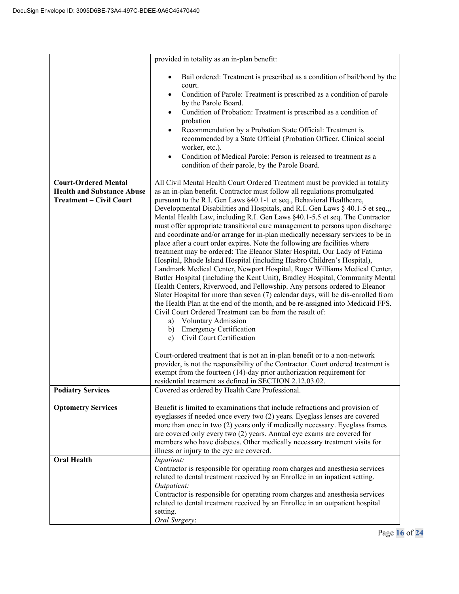|                                                                                                    | provided in totality as an in-plan benefit:                                                                                                                                                                                                                                                                                                                                                                                                                                                                                                                                                                                                                                                                                                                                                                                                                                                                                                                                                                                                                                                                                                                                                                                                                                                                                                                                                                                                                                                                                                                                                                                                 |
|----------------------------------------------------------------------------------------------------|---------------------------------------------------------------------------------------------------------------------------------------------------------------------------------------------------------------------------------------------------------------------------------------------------------------------------------------------------------------------------------------------------------------------------------------------------------------------------------------------------------------------------------------------------------------------------------------------------------------------------------------------------------------------------------------------------------------------------------------------------------------------------------------------------------------------------------------------------------------------------------------------------------------------------------------------------------------------------------------------------------------------------------------------------------------------------------------------------------------------------------------------------------------------------------------------------------------------------------------------------------------------------------------------------------------------------------------------------------------------------------------------------------------------------------------------------------------------------------------------------------------------------------------------------------------------------------------------------------------------------------------------|
|                                                                                                    | Bail ordered: Treatment is prescribed as a condition of bail/bond by the<br>court.<br>Condition of Parole: Treatment is prescribed as a condition of parole<br>by the Parole Board.<br>Condition of Probation: Treatment is prescribed as a condition of<br>probation<br>Recommendation by a Probation State Official: Treatment is<br>$\bullet$<br>recommended by a State Official (Probation Officer, Clinical social<br>worker, etc.).<br>Condition of Medical Parole: Person is released to treatment as a<br>condition of their parole, by the Parole Board.                                                                                                                                                                                                                                                                                                                                                                                                                                                                                                                                                                                                                                                                                                                                                                                                                                                                                                                                                                                                                                                                           |
| <b>Court-Ordered Mental</b><br><b>Health and Substance Abuse</b><br><b>Treatment - Civil Court</b> | All Civil Mental Health Court Ordered Treatment must be provided in totality<br>as an in-plan benefit. Contractor must follow all regulations promulgated<br>pursuant to the R.I. Gen Laws §40.1-1 et seq., Behavioral Healthcare,<br>Developmental Disabilities and Hospitals, and R.I. Gen Laws § 40.1-5 et seq.,,<br>Mental Health Law, including R.I. Gen Laws §40.1-5.5 et seq. The Contractor<br>must offer appropriate transitional care management to persons upon discharge<br>and coordinate and/or arrange for in-plan medically necessary services to be in<br>place after a court order expires. Note the following are facilities where<br>treatment may be ordered: The Eleanor Slater Hospital, Our Lady of Fatima<br>Hospital, Rhode Island Hospital (including Hasbro Children's Hospital),<br>Landmark Medical Center, Newport Hospital, Roger Williams Medical Center,<br>Butler Hospital (including the Kent Unit), Bradley Hospital, Community Mental<br>Health Centers, Riverwood, and Fellowship. Any persons ordered to Eleanor<br>Slater Hospital for more than seven (7) calendar days, will be dis-enrolled from<br>the Health Plan at the end of the month, and be re-assigned into Medicaid FFS.<br>Civil Court Ordered Treatment can be from the result of:<br>a) Voluntary Admission<br><b>Emergency Certification</b><br>b)<br>Civil Court Certification<br>c)<br>Court-ordered treatment that is not an in-plan benefit or to a non-network<br>provider, is not the responsibility of the Contractor. Court ordered treatment is<br>exempt from the fourteen (14)-day prior authorization requirement for |
| <b>Podiatry Services</b>                                                                           | residential treatment as defined in SECTION 2.12.03.02.<br>Covered as ordered by Health Care Professional.                                                                                                                                                                                                                                                                                                                                                                                                                                                                                                                                                                                                                                                                                                                                                                                                                                                                                                                                                                                                                                                                                                                                                                                                                                                                                                                                                                                                                                                                                                                                  |
|                                                                                                    |                                                                                                                                                                                                                                                                                                                                                                                                                                                                                                                                                                                                                                                                                                                                                                                                                                                                                                                                                                                                                                                                                                                                                                                                                                                                                                                                                                                                                                                                                                                                                                                                                                             |
| <b>Optometry Services</b>                                                                          | Benefit is limited to examinations that include refractions and provision of<br>eyeglasses if needed once every two (2) years. Eyeglass lenses are covered<br>more than once in two (2) years only if medically necessary. Eyeglass frames<br>are covered only every two (2) years. Annual eye exams are covered for<br>members who have diabetes. Other medically necessary treatment visits for<br>illness or injury to the eye are covered.                                                                                                                                                                                                                                                                                                                                                                                                                                                                                                                                                                                                                                                                                                                                                                                                                                                                                                                                                                                                                                                                                                                                                                                              |
| <b>Oral Health</b>                                                                                 | Inpatient:<br>Contractor is responsible for operating room charges and anesthesia services<br>related to dental treatment received by an Enrollee in an inpatient setting.<br>Outpatient:<br>Contractor is responsible for operating room charges and anesthesia services<br>related to dental treatment received by an Enrollee in an outpatient hospital<br>setting.<br>Oral Surgery:                                                                                                                                                                                                                                                                                                                                                                                                                                                                                                                                                                                                                                                                                                                                                                                                                                                                                                                                                                                                                                                                                                                                                                                                                                                     |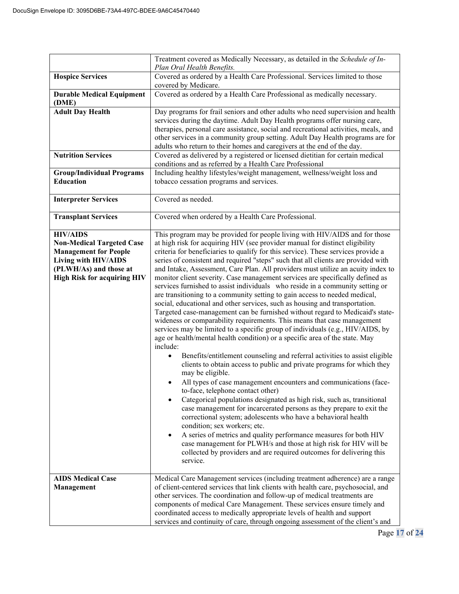|                                                                                                                                                                                    | Treatment covered as Medically Necessary, as detailed in the Schedule of In-<br>Plan Oral Health Benefits.                                                                                                                                                                                                                                                                                                                                                                                                                                                                                                                                                                                                                                                                                                                                                                                                                                                                                                                                                                                                                                                                                                                                                                                                                                                                                                                                                                                                                                                                                                                                                                                                                                                                                                                                                              |
|------------------------------------------------------------------------------------------------------------------------------------------------------------------------------------|-------------------------------------------------------------------------------------------------------------------------------------------------------------------------------------------------------------------------------------------------------------------------------------------------------------------------------------------------------------------------------------------------------------------------------------------------------------------------------------------------------------------------------------------------------------------------------------------------------------------------------------------------------------------------------------------------------------------------------------------------------------------------------------------------------------------------------------------------------------------------------------------------------------------------------------------------------------------------------------------------------------------------------------------------------------------------------------------------------------------------------------------------------------------------------------------------------------------------------------------------------------------------------------------------------------------------------------------------------------------------------------------------------------------------------------------------------------------------------------------------------------------------------------------------------------------------------------------------------------------------------------------------------------------------------------------------------------------------------------------------------------------------------------------------------------------------------------------------------------------------|
| <b>Hospice Services</b>                                                                                                                                                            | Covered as ordered by a Health Care Professional. Services limited to those<br>covered by Medicare.                                                                                                                                                                                                                                                                                                                                                                                                                                                                                                                                                                                                                                                                                                                                                                                                                                                                                                                                                                                                                                                                                                                                                                                                                                                                                                                                                                                                                                                                                                                                                                                                                                                                                                                                                                     |
| <b>Durable Medical Equipment</b><br>(DME)                                                                                                                                          | Covered as ordered by a Health Care Professional as medically necessary.                                                                                                                                                                                                                                                                                                                                                                                                                                                                                                                                                                                                                                                                                                                                                                                                                                                                                                                                                                                                                                                                                                                                                                                                                                                                                                                                                                                                                                                                                                                                                                                                                                                                                                                                                                                                |
| <b>Adult Day Health</b><br><b>Nutrition Services</b><br><b>Group/Individual Programs</b><br><b>Education</b>                                                                       | Day programs for frail seniors and other adults who need supervision and health<br>services during the daytime. Adult Day Health programs offer nursing care,<br>therapies, personal care assistance, social and recreational activities, meals, and<br>other services in a community group setting. Adult Day Health programs are for<br>adults who return to their homes and caregivers at the end of the day.<br>Covered as delivered by a registered or licensed dietitian for certain medical<br>conditions and as referred by a Health Care Professional<br>Including healthy lifestyles/weight management, wellness/weight loss and<br>tobacco cessation programs and services.                                                                                                                                                                                                                                                                                                                                                                                                                                                                                                                                                                                                                                                                                                                                                                                                                                                                                                                                                                                                                                                                                                                                                                                  |
| <b>Interpreter Services</b>                                                                                                                                                        | Covered as needed.                                                                                                                                                                                                                                                                                                                                                                                                                                                                                                                                                                                                                                                                                                                                                                                                                                                                                                                                                                                                                                                                                                                                                                                                                                                                                                                                                                                                                                                                                                                                                                                                                                                                                                                                                                                                                                                      |
| <b>Transplant Services</b>                                                                                                                                                         | Covered when ordered by a Health Care Professional.                                                                                                                                                                                                                                                                                                                                                                                                                                                                                                                                                                                                                                                                                                                                                                                                                                                                                                                                                                                                                                                                                                                                                                                                                                                                                                                                                                                                                                                                                                                                                                                                                                                                                                                                                                                                                     |
| <b>HIV/AIDS</b><br><b>Non-Medical Targeted Case</b><br><b>Management for People</b><br><b>Living with HIV/AIDS</b><br>(PLWH/As) and those at<br><b>High Risk for acquiring HIV</b> | This program may be provided for people living with HIV/AIDS and for those<br>at high risk for acquiring HIV (see provider manual for distinct eligibility<br>criteria for beneficiaries to qualify for this service). These services provide a<br>series of consistent and required "steps" such that all clients are provided with<br>and Intake, Assessment, Care Plan. All providers must utilize an acuity index to<br>monitor client severity. Case management services are specifically defined as<br>services furnished to assist individuals who reside in a community setting or<br>are transitioning to a community setting to gain access to needed medical,<br>social, educational and other services, such as housing and transportation.<br>Targeted case-management can be furnished without regard to Medicaid's state-<br>wideness or comparability requirements. This means that case management<br>services may be limited to a specific group of individuals (e.g., HIV/AIDS, by<br>age or health/mental health condition) or a specific area of the state. May<br>include:<br>Benefits/entitlement counseling and referral activities to assist eligible<br>clients to obtain access to public and private programs for which they<br>may be eligible.<br>All types of case management encounters and communications (face-<br>to-face, telephone contact other)<br>Categorical populations designated as high risk, such as, transitional<br>case management for incarcerated persons as they prepare to exit the<br>correctional system; adolescents who have a behavioral health<br>condition; sex workers; etc.<br>A series of metrics and quality performance measures for both HIV<br>case management for PLWH/s and those at high risk for HIV will be<br>collected by providers and are required outcomes for delivering this<br>service. |
| <b>AIDS Medical Case</b><br><b>Management</b>                                                                                                                                      | Medical Care Management services (including treatment adherence) are a range<br>of client-centered services that link clients with health care, psychosocial, and<br>other services. The coordination and follow-up of medical treatments are<br>components of medical Care Management. These services ensure timely and<br>coordinated access to medically appropriate levels of health and support<br>services and continuity of care, through ongoing assessment of the client's and                                                                                                                                                                                                                                                                                                                                                                                                                                                                                                                                                                                                                                                                                                                                                                                                                                                                                                                                                                                                                                                                                                                                                                                                                                                                                                                                                                                 |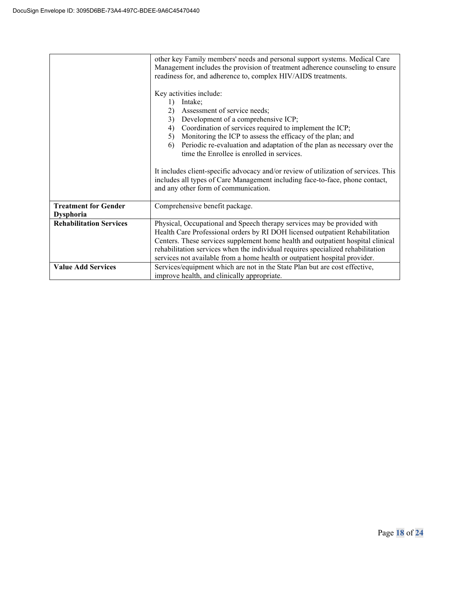|                                | other key Family members' needs and personal support systems. Medical Care                                                                                                                                  |  |  |
|--------------------------------|-------------------------------------------------------------------------------------------------------------------------------------------------------------------------------------------------------------|--|--|
|                                | Management includes the provision of treatment adherence counseling to ensure                                                                                                                               |  |  |
|                                | readiness for, and adherence to, complex HIV/AIDS treatments.                                                                                                                                               |  |  |
|                                |                                                                                                                                                                                                             |  |  |
|                                | Key activities include:                                                                                                                                                                                     |  |  |
|                                | Intake;<br>1)                                                                                                                                                                                               |  |  |
|                                | Assessment of service needs;<br>2)                                                                                                                                                                          |  |  |
|                                | Development of a comprehensive ICP;<br>3)                                                                                                                                                                   |  |  |
|                                | Coordination of services required to implement the ICP;<br>4)                                                                                                                                               |  |  |
|                                | Monitoring the ICP to assess the efficacy of the plan; and<br>5)                                                                                                                                            |  |  |
|                                | Periodic re-evaluation and adaptation of the plan as necessary over the<br>6)                                                                                                                               |  |  |
|                                | time the Enrollee is enrolled in services.                                                                                                                                                                  |  |  |
|                                |                                                                                                                                                                                                             |  |  |
|                                | It includes client-specific advocacy and/or review of utilization of services. This<br>includes all types of Care Management including face-to-face, phone contact,<br>and any other form of communication. |  |  |
| <b>Treatment for Gender</b>    | Comprehensive benefit package.                                                                                                                                                                              |  |  |
| <b>Dysphoria</b>               |                                                                                                                                                                                                             |  |  |
| <b>Rehabilitation Services</b> | Physical, Occupational and Speech therapy services may be provided with                                                                                                                                     |  |  |
|                                | Health Care Professional orders by RI DOH licensed outpatient Rehabilitation                                                                                                                                |  |  |
|                                | Centers. These services supplement home health and outpatient hospital clinical                                                                                                                             |  |  |
|                                | rehabilitation services when the individual requires specialized rehabilitation                                                                                                                             |  |  |
|                                | services not available from a home health or outpatient hospital provider.                                                                                                                                  |  |  |
| <b>Value Add Services</b>      | Services/equipment which are not in the State Plan but are cost effective,                                                                                                                                  |  |  |
|                                | improve health, and clinically appropriate.                                                                                                                                                                 |  |  |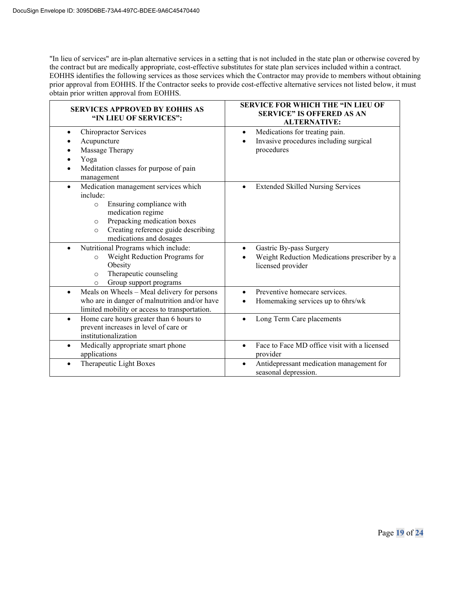"In lieu of services" are in-plan alternative services in a setting that is not included in the state plan or otherwise covered by the contract but are medically appropriate, cost-effective substitutes for state plan services included within a contract. EOHHS identifies the following services as those services which the Contractor may provide to members without obtaining prior approval from EOHHS. If the Contractor seeks to provide cost-effective alternative services not listed below, it must obtain prior written approval from EOHHS.

| <b>SERVICES APPROVED BY EOHHS AS</b><br>"IN LIEU OF SERVICES":                                                                                                                                                                                   | SERVICE FOR WHICH THE "IN LIEU OF<br><b>SERVICE" IS OFFERED AS AN</b><br><b>ALTERNATIVE:</b>              |  |
|--------------------------------------------------------------------------------------------------------------------------------------------------------------------------------------------------------------------------------------------------|-----------------------------------------------------------------------------------------------------------|--|
| <b>Chiropractor Services</b><br>Acupuncture<br>Massage Therapy<br>Yoga                                                                                                                                                                           | Medications for treating pain.<br>$\bullet$<br>Invasive procedures including surgical<br>procedures       |  |
| Meditation classes for purpose of pain<br>management                                                                                                                                                                                             |                                                                                                           |  |
| Medication management services which<br>$\bullet$<br>include:<br>Ensuring compliance with<br>$\circ$<br>medication regime<br>Prepacking medication boxes<br>$\circ$<br>Creating reference guide describing<br>$\circ$<br>medications and dosages | <b>Extended Skilled Nursing Services</b><br>$\bullet$                                                     |  |
| Nutritional Programs which include:<br>Weight Reduction Programs for<br>$\circ$<br>Obesity<br>Therapeutic counseling<br>$\circ$<br>Group support programs<br>O                                                                                   | Gastric By-pass Surgery<br>$\bullet$<br>Weight Reduction Medications prescriber by a<br>licensed provider |  |
| Meals on Wheels - Meal delivery for persons<br>who are in danger of malnutrition and/or have<br>limited mobility or access to transportation.                                                                                                    | Preventive homecare services.<br>Homemaking services up to 6hrs/wk                                        |  |
| Home care hours greater than 6 hours to<br>$\bullet$<br>prevent increases in level of care or<br>institutionalization                                                                                                                            | Long Term Care placements                                                                                 |  |
| Medically appropriate smart phone<br>$\bullet$<br>applications                                                                                                                                                                                   | Face to Face MD office visit with a licensed<br>$\bullet$<br>provider                                     |  |
| Therapeutic Light Boxes<br>$\bullet$                                                                                                                                                                                                             | Antidepressant medication management for<br>$\bullet$<br>seasonal depression.                             |  |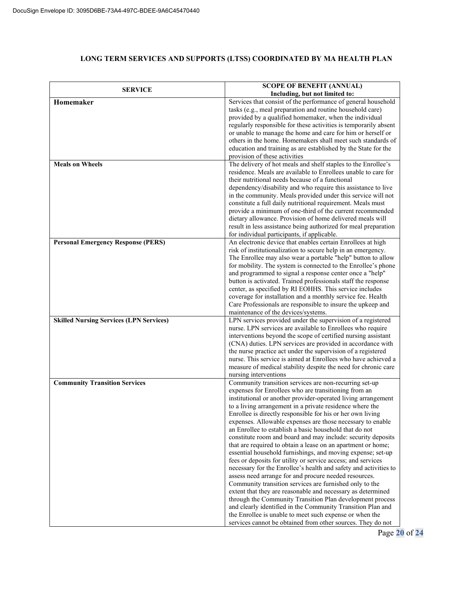## **LONG TERM SERVICES AND SUPPORTS (LTSS) COORDINATED BY MA HEALTH PLAN**

| <b>SERVICE</b>                                 | <b>SCOPE OF BENEFIT (ANNUAL)</b><br>Including, but not limited to:                                                                                                                                                                                                                                                                                                                                                                                                                                                                                                                                                                                                                                                                                                                                                                                                                                                                                                                                                                                                                                                                                                                                            |
|------------------------------------------------|---------------------------------------------------------------------------------------------------------------------------------------------------------------------------------------------------------------------------------------------------------------------------------------------------------------------------------------------------------------------------------------------------------------------------------------------------------------------------------------------------------------------------------------------------------------------------------------------------------------------------------------------------------------------------------------------------------------------------------------------------------------------------------------------------------------------------------------------------------------------------------------------------------------------------------------------------------------------------------------------------------------------------------------------------------------------------------------------------------------------------------------------------------------------------------------------------------------|
| Homemaker                                      | Services that consist of the performance of general household<br>tasks (e.g., meal preparation and routine household care)<br>provided by a qualified homemaker, when the individual<br>regularly responsible for these activities is temporarily absent<br>or unable to manage the home and care for him or herself or<br>others in the home. Homemakers shall meet such standards of<br>education and training as are established by the State for the<br>provision of these activities                                                                                                                                                                                                                                                                                                                                                                                                                                                                                                                                                                                                                                                                                                                     |
| <b>Meals on Wheels</b>                         | The delivery of hot meals and shelf staples to the Enrollee's<br>residence. Meals are available to Enrollees unable to care for<br>their nutritional needs because of a functional<br>dependency/disability and who require this assistance to live<br>in the community. Meals provided under this service will not<br>constitute a full daily nutritional requirement. Meals must<br>provide a minimum of one-third of the current recommended<br>dietary allowance. Provision of home delivered meals will<br>result in less assistance being authorized for meal preparation<br>for individual participants, if applicable.                                                                                                                                                                                                                                                                                                                                                                                                                                                                                                                                                                                |
| <b>Personal Emergency Response (PERS)</b>      | An electronic device that enables certain Enrollees at high<br>risk of institutionalization to secure help in an emergency.<br>The Enrollee may also wear a portable "help" button to allow<br>for mobility. The system is connected to the Enrollee's phone<br>and programmed to signal a response center once a "help"<br>button is activated. Trained professionals staff the response<br>center, as specified by RI EOHHS. This service includes<br>coverage for installation and a monthly service fee. Health<br>Care Professionals are responsible to insure the upkeep and<br>maintenance of the devices/systems.                                                                                                                                                                                                                                                                                                                                                                                                                                                                                                                                                                                     |
| <b>Skilled Nursing Services (LPN Services)</b> | LPN services provided under the supervision of a registered<br>nurse. LPN services are available to Enrollees who require<br>interventions beyond the scope of certified nursing assistant<br>(CNA) duties. LPN services are provided in accordance with<br>the nurse practice act under the supervision of a registered<br>nurse. This service is aimed at Enrollees who have achieved a<br>measure of medical stability despite the need for chronic care<br>nursing interventions                                                                                                                                                                                                                                                                                                                                                                                                                                                                                                                                                                                                                                                                                                                          |
| <b>Community Transition Services</b>           | Community transition services are non-recurring set-up<br>expenses for Enrollees who are transitioning from an<br>institutional or another provider-operated living arrangement<br>to a living arrangement in a private residence where the<br>Enrollee is directly responsible for his or her own living<br>expenses. Allowable expenses are those necessary to enable<br>an Enrollee to establish a basic household that do not<br>constitute room and board and may include: security deposits<br>that are required to obtain a lease on an apartment or home;<br>essential household furnishings, and moving expense; set-up<br>fees or deposits for utility or service access; and services<br>necessary for the Enrollee's health and safety and activities to<br>assess need arrange for and procure needed resources.<br>Community transition services are furnished only to the<br>extent that they are reasonable and necessary as determined<br>through the Community Transition Plan development process<br>and clearly identified in the Community Transition Plan and<br>the Enrollee is unable to meet such expense or when the<br>services cannot be obtained from other sources. They do not |

Page **20** of **24**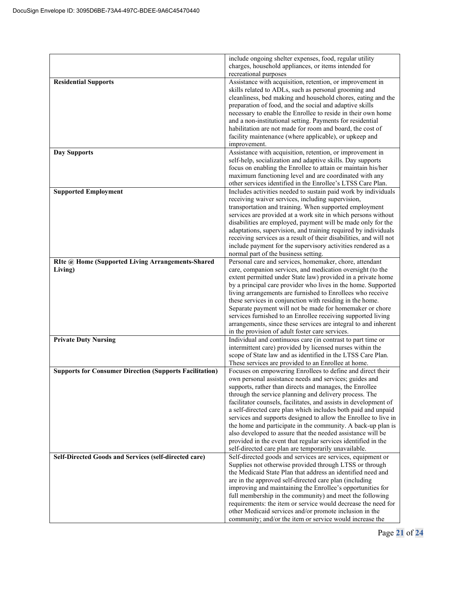|                                                                | include ongoing shelter expenses, food, regular utility<br>charges, household appliances, or items intended for                      |
|----------------------------------------------------------------|--------------------------------------------------------------------------------------------------------------------------------------|
|                                                                | recreational purposes                                                                                                                |
| <b>Residential Supports</b>                                    | Assistance with acquisition, retention, or improvement in                                                                            |
|                                                                | skills related to ADLs, such as personal grooming and                                                                                |
|                                                                | cleanliness, bed making and household chores, eating and the                                                                         |
|                                                                | preparation of food, and the social and adaptive skills                                                                              |
|                                                                | necessary to enable the Enrollee to reside in their own home<br>and a non-institutional setting. Payments for residential            |
|                                                                | habilitation are not made for room and board, the cost of                                                                            |
|                                                                | facility maintenance (where applicable), or upkeep and                                                                               |
|                                                                | improvement.                                                                                                                         |
| <b>Day Supports</b>                                            | Assistance with acquisition, retention, or improvement in                                                                            |
|                                                                | self-help, socialization and adaptive skills. Day supports                                                                           |
|                                                                | focus on enabling the Enrollee to attain or maintain his/her                                                                         |
|                                                                | maximum functioning level and are coordinated with any<br>other services identified in the Enrollee's LTSS Care Plan.                |
| <b>Supported Employment</b>                                    | Includes activities needed to sustain paid work by individuals                                                                       |
|                                                                | receiving waiver services, including supervision,                                                                                    |
|                                                                | transportation and training. When supported employment                                                                               |
|                                                                | services are provided at a work site in which persons without                                                                        |
|                                                                | disabilities are employed, payment will be made only for the                                                                         |
|                                                                | adaptations, supervision, and training required by individuals<br>receiving services as a result of their disabilities, and will not |
|                                                                | include payment for the supervisory activities rendered as a                                                                         |
|                                                                | normal part of the business setting.                                                                                                 |
| RIte @ Home (Supported Living Arrangements-Shared              | Personal care and services, homemaker, chore, attendant                                                                              |
| Living)                                                        | care, companion services, and medication oversight (to the                                                                           |
|                                                                | extent permitted under State law) provided in a private home                                                                         |
|                                                                | by a principal care provider who lives in the home. Supported<br>living arrangements are furnished to Enrollees who receive          |
|                                                                | these services in conjunction with residing in the home.                                                                             |
|                                                                | Separate payment will not be made for homemaker or chore                                                                             |
|                                                                | services furnished to an Enrollee receiving supported living                                                                         |
|                                                                | arrangements, since these services are integral to and inherent                                                                      |
|                                                                | in the provision of adult foster care services.                                                                                      |
| <b>Private Duty Nursing</b>                                    | Individual and continuous care (in contrast to part time or                                                                          |
|                                                                | intermittent care) provided by licensed nurses within the<br>scope of State law and as identified in the LTSS Care Plan.             |
|                                                                | These services are provided to an Enrollee at home.                                                                                  |
| <b>Supports for Consumer Direction (Supports Facilitation)</b> | Focuses on empowering Enrollees to define and direct their                                                                           |
|                                                                | own personal assistance needs and services; guides and                                                                               |
|                                                                | supports, rather than directs and manages, the Enrollee                                                                              |
|                                                                | through the service planning and delivery process. The                                                                               |
|                                                                | facilitator counsels, facilitates, and assists in development of                                                                     |
|                                                                | a self-directed care plan which includes both paid and unpaid<br>services and supports designed to allow the Enrollee to live in     |
|                                                                | the home and participate in the community. A back-up plan is                                                                         |
|                                                                | also developed to assure that the needed assistance will be                                                                          |
|                                                                | provided in the event that regular services identified in the                                                                        |
|                                                                | self-directed care plan are temporarily unavailable.                                                                                 |
| Self-Directed Goods and Services (self-directed care)          | Self-directed goods and services are services, equipment or                                                                          |
|                                                                | Supplies not otherwise provided through LTSS or through<br>the Medicaid State Plan that address an identified need and               |
|                                                                | are in the approved self-directed care plan (including                                                                               |
|                                                                | improving and maintaining the Enrollee's opportunities for                                                                           |
|                                                                | full membership in the community) and meet the following                                                                             |
|                                                                | requirements: the item or service would decrease the need for                                                                        |
|                                                                | other Medicaid services and/or promote inclusion in the                                                                              |
|                                                                | community; and/or the item or service would increase the                                                                             |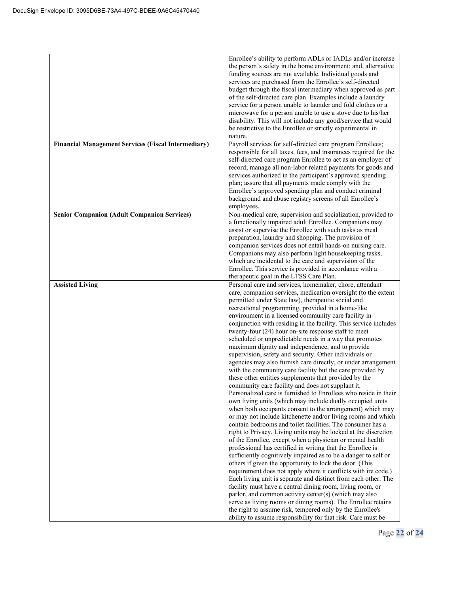|                                                            | Enrollee's ability to perform ADLs or IADLs and/or increase<br>the person's safety in the home environment; and, alternative<br>funding sources are not available. Individual goods and<br>services are purchased from the Enrollee's self-directed<br>budget through the fiscal intermediary when approved as part<br>of the self-directed care plan. Examples include a laundry<br>service for a person unable to launder and fold clothes or a<br>microwave for a person unable to use a stove due to his/her<br>disability. This will not include any good/service that would<br>be restrictive to the Enrollee or strictly experimental in<br>nature.                                                                                                                                                                                                                                                                                                                                                                                                                                                                                                                                                                                                                                                                                                                                                                                                                                                                                                                                                                                                                                                                                                                                                                                                                                                                                              |
|------------------------------------------------------------|---------------------------------------------------------------------------------------------------------------------------------------------------------------------------------------------------------------------------------------------------------------------------------------------------------------------------------------------------------------------------------------------------------------------------------------------------------------------------------------------------------------------------------------------------------------------------------------------------------------------------------------------------------------------------------------------------------------------------------------------------------------------------------------------------------------------------------------------------------------------------------------------------------------------------------------------------------------------------------------------------------------------------------------------------------------------------------------------------------------------------------------------------------------------------------------------------------------------------------------------------------------------------------------------------------------------------------------------------------------------------------------------------------------------------------------------------------------------------------------------------------------------------------------------------------------------------------------------------------------------------------------------------------------------------------------------------------------------------------------------------------------------------------------------------------------------------------------------------------------------------------------------------------------------------------------------------------|
| <b>Financial Management Services (Fiscal Intermediary)</b> | Payroll services for self-directed care program Enrollees;<br>responsible for all taxes, fees, and insurances required for the<br>self-directed care program Enrollee to act as an employer of<br>record; manage all non-labor related payments for goods and<br>services authorized in the participant's approved spending<br>plan; assure that all payments made comply with the<br>Enrollee's approved spending plan and conduct criminal<br>background and abuse registry screens of all Enrollee's<br>employees.                                                                                                                                                                                                                                                                                                                                                                                                                                                                                                                                                                                                                                                                                                                                                                                                                                                                                                                                                                                                                                                                                                                                                                                                                                                                                                                                                                                                                                   |
| <b>Senior Companion (Adult Companion Services)</b>         | Non-medical care, supervision and socialization, provided to<br>a functionally impaired adult Enrollee. Companions may<br>assist or supervise the Enrollee with such tasks as meal<br>preparation, laundry and shopping. The provision of<br>companion services does not entail hands-on nursing care.<br>Companions may also perform light housekeeping tasks,<br>which are incidental to the care and supervision of the<br>Enrollee. This service is provided in accordance with a<br>therapeutic goal in the LTSS Care Plan.                                                                                                                                                                                                                                                                                                                                                                                                                                                                                                                                                                                                                                                                                                                                                                                                                                                                                                                                                                                                                                                                                                                                                                                                                                                                                                                                                                                                                        |
| <b>Assisted Living</b>                                     | Personal care and services, homemaker, chore, attendant<br>care, companion services, medication oversight (to the extent<br>permitted under State law), therapeutic social and<br>recreational programming, provided in a home-like<br>environment in a licensed community care facility in<br>conjunction with residing in the facility. This service includes<br>twenty-four (24) hour on-site response staff to meet<br>scheduled or unpredictable needs in a way that promotes<br>maximum dignity and independence, and to provide<br>supervision, safety and security. Other individuals or<br>agencies may also furnish care directly, or under arrangement<br>with the community care facility but the care provided by<br>these other entities supplements that provided by the<br>community care facility and does not supplant it.<br>Personalized care is furnished to Enrollees who reside in their<br>own living units (which may include dually occupied units<br>when both occupants consent to the arrangement) which may<br>or may not include kitchenette and/or living rooms and which<br>contain bedrooms and toilet facilities. The consumer has a<br>right to Privacy. Living units may be locked at the discretion<br>of the Enrollee, except when a physician or mental health<br>professional has certified in writing that the Enrollee is<br>sufficiently cognitively impaired as to be a danger to self or<br>others if given the opportunity to lock the door. (This<br>requirement does not apply where it conflicts with ire code.)<br>Each living unit is separate and distinct from each other. The<br>facility must have a central dining room, living room, or<br>parlor, and common activity center(s) (which may also<br>serve as living rooms or dining rooms). The Enrollee retains<br>the right to assume risk, tempered only by the Enrollee's<br>ability to assume responsibility for that risk. Care must be |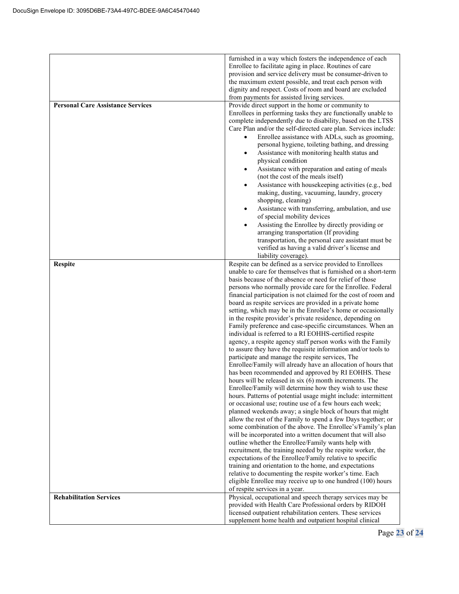| <b>Rehabilitation Services</b>                             | of respite services in a year.<br>Physical, occupational and speech therapy services may be<br>provided with Health Care Professional orders by RIDOH<br>licensed outpatient rehabilitation centers. These services<br>supplement home health and outpatient hospital clinical                                                                                                                                                                                                                                                                                                                                                                                                                                                                                                                                                                                                                                                                                                                                                                                                                                                                                                                                                                                                                                                                                                                                                                                                                                                                                                                                                                                                                                                                                                       |
|------------------------------------------------------------|--------------------------------------------------------------------------------------------------------------------------------------------------------------------------------------------------------------------------------------------------------------------------------------------------------------------------------------------------------------------------------------------------------------------------------------------------------------------------------------------------------------------------------------------------------------------------------------------------------------------------------------------------------------------------------------------------------------------------------------------------------------------------------------------------------------------------------------------------------------------------------------------------------------------------------------------------------------------------------------------------------------------------------------------------------------------------------------------------------------------------------------------------------------------------------------------------------------------------------------------------------------------------------------------------------------------------------------------------------------------------------------------------------------------------------------------------------------------------------------------------------------------------------------------------------------------------------------------------------------------------------------------------------------------------------------------------------------------------------------------------------------------------------------|
|                                                            | unable to care for themselves that is furnished on a short-term<br>basis because of the absence or need for relief of those<br>persons who normally provide care for the Enrollee. Federal<br>financial participation is not claimed for the cost of room and<br>board as respite services are provided in a private home<br>setting, which may be in the Enrollee's home or occasionally<br>in the respite provider's private residence, depending on<br>Family preference and case-specific circumstances. When an<br>individual is referred to a RI EOHHS-certified respite<br>agency, a respite agency staff person works with the Family<br>to assure they have the requisite information and/or tools to<br>participate and manage the respite services, The<br>Enrollee/Family will already have an allocation of hours that<br>has been recommended and approved by RI EOHHS. These<br>hours will be released in $six(6)$ month increments. The<br>Enrollee/Family will determine how they wish to use these<br>hours. Patterns of potential usage might include: intermittent<br>or occasional use; routine use of a few hours each week;<br>planned weekends away; a single block of hours that might<br>allow the rest of the Family to spend a few Days together; or<br>some combination of the above. The Enrollee's/Family's plan<br>will be incorporated into a written document that will also<br>outline whether the Enrollee/Family wants help with<br>recruitment, the training needed by the respite worker, the<br>expectations of the Enrollee/Family relative to specific<br>training and orientation to the home, and expectations<br>relative to documenting the respite worker's time. Each<br>eligible Enrollee may receive up to one hundred (100) hours |
| <b>Personal Care Assistance Services</b><br><b>Respite</b> | provision and service delivery must be consumer-driven to<br>the maximum extent possible, and treat each person with<br>dignity and respect. Costs of room and board are excluded<br>from payments for assisted living services.<br>Provide direct support in the home or community to<br>Enrollees in performing tasks they are functionally unable to<br>complete independently due to disability, based on the LTSS<br>Care Plan and/or the self-directed care plan. Services include:<br>Enrollee assistance with ADLs, such as grooming,<br>personal hygiene, toileting bathing, and dressing<br>Assistance with monitoring health status and<br>٠<br>physical condition<br>Assistance with preparation and eating of meals<br>(not the cost of the meals itself)<br>Assistance with housekeeping activities (e.g., bed<br>making, dusting, vacuuming, laundry, grocery<br>shopping, cleaning)<br>Assistance with transferring, ambulation, and use<br>of special mobility devices<br>Assisting the Enrollee by directly providing or<br>arranging transportation (If providing<br>transportation, the personal care assistant must be<br>verified as having a valid driver's license and<br>liability coverage).<br>Respite can be defined as a service provided to Enrollees                                                                                                                                                                                                                                                                                                                                                                                                                                                                                                  |
|                                                            | furnished in a way which fosters the independence of each<br>Enrollee to facilitate aging in place. Routines of care                                                                                                                                                                                                                                                                                                                                                                                                                                                                                                                                                                                                                                                                                                                                                                                                                                                                                                                                                                                                                                                                                                                                                                                                                                                                                                                                                                                                                                                                                                                                                                                                                                                                 |